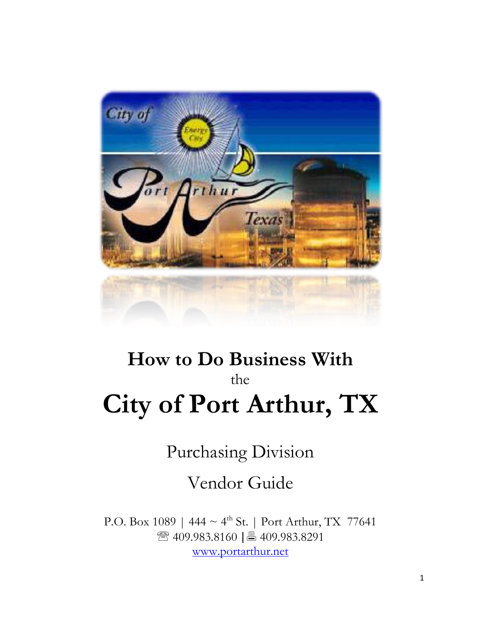

# **How to Do Business With** the **City of Port Arthur, TX**

Purchasing Division

Vendor Guide

P.O. Box 1089 | 444  $\sim 4^{\text{th}}$  St. | Port Arthur, TX 77641 ☎ 409.983.8160 | 409.983.8291 [www.portarthur.net](http://www.portarthur.net/)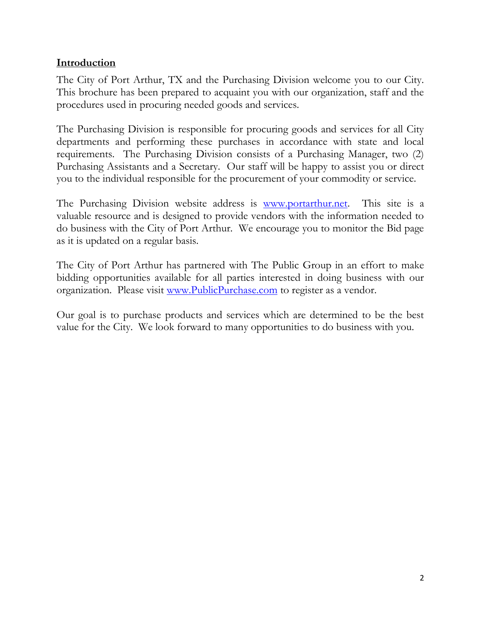## **Introduction**

The City of Port Arthur, TX and the Purchasing Division welcome you to our City. This brochure has been prepared to acquaint you with our organization, staff and the procedures used in procuring needed goods and services.

The Purchasing Division is responsible for procuring goods and services for all City departments and performing these purchases in accordance with state and local requirements. The Purchasing Division consists of a Purchasing Manager, two (2) Purchasing Assistants and a Secretary. Our staff will be happy to assist you or direct you to the individual responsible for the procurement of your commodity or service.

The Purchasing Division website address is [www.portarthur.net.](http://www.portarthur.net/bid_rfp.cfm) This site is a valuable resource and is designed to provide vendors with the information needed to do business with the City of Port Arthur. We encourage you to monitor the Bid page as it is updated on a regular basis.

The City of Port Arthur has partnered with The Public Group in an effort to make bidding opportunities available for all parties interested in doing business with our organization. Please visit [www.PublicPurchase.com](http://www.publicpurchase.com/) to register as a vendor.

Our goal is to purchase products and services which are determined to be the best value for the City. We look forward to many opportunities to do business with you.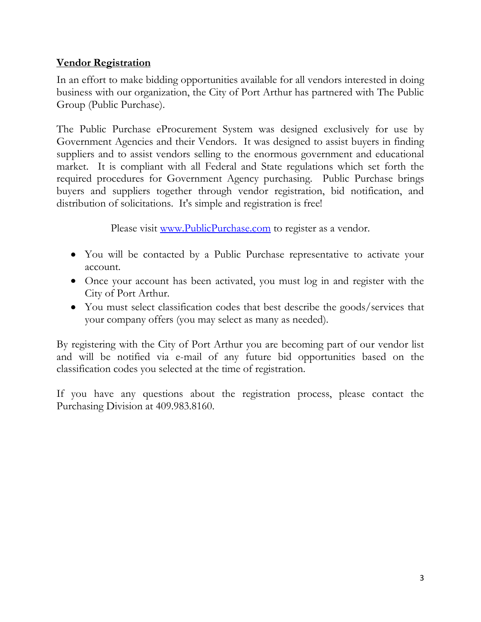# **Vendor Registration**

In an effort to make bidding opportunities available for all vendors interested in doing business with our organization, the City of Port Arthur has partnered with The Public Group (Public Purchase).

The Public Purchase eProcurement System was designed exclusively for use by Government Agencies and their Vendors. It was designed to assist buyers in finding suppliers and to assist vendors selling to the enormous government and educational market. It is compliant with all Federal and State regulations which set forth the required procedures for Government Agency purchasing. Public Purchase brings buyers and suppliers together through vendor registration, bid notification, and distribution of solicitations. It's simple and registration is free!

Please visit [www.PublicPurchase.com](http://www.publicpurchase.com/) to register as a vendor.

- You will be contacted by a Public Purchase representative to activate your account.
- Once your account has been activated, you must log in and register with the City of Port Arthur.
- You must select classification codes that best describe the goods/services that your company offers (you may select as many as needed).

By registering with the City of Port Arthur you are becoming part of our vendor list and will be notified via e-mail of any future bid opportunities based on the classification codes you selected at the time of registration.

If you have any questions about the registration process, please contact the Purchasing Division at 409.983.8160.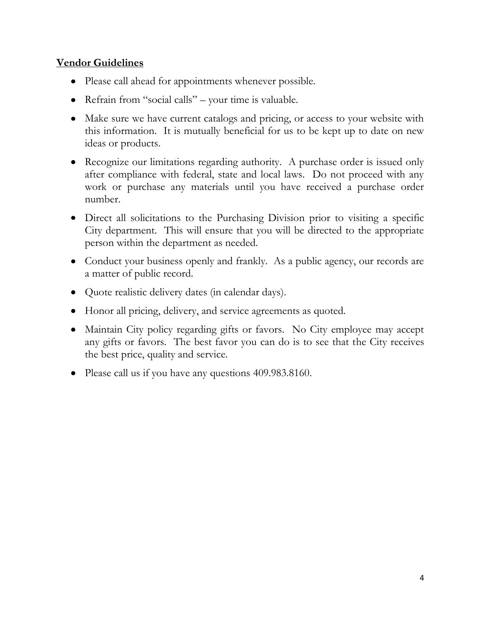### **Vendor Guidelines**

- Please call ahead for appointments whenever possible.
- Refrain from "social calls" your time is valuable.
- Make sure we have current catalogs and pricing, or access to your website with this information. It is mutually beneficial for us to be kept up to date on new ideas or products.
- Recognize our limitations regarding authority. A purchase order is issued only after compliance with federal, state and local laws. Do not proceed with any work or purchase any materials until you have received a purchase order number.
- Direct all solicitations to the Purchasing Division prior to visiting a specific City department. This will ensure that you will be directed to the appropriate person within the department as needed.
- Conduct your business openly and frankly. As a public agency, our records are a matter of public record.
- Quote realistic delivery dates (in calendar days).
- Honor all pricing, delivery, and service agreements as quoted.
- Maintain City policy regarding gifts or favors. No City employee may accept any gifts or favors. The best favor you can do is to see that the City receives the best price, quality and service.
- Please call us if you have any questions 409.983.8160.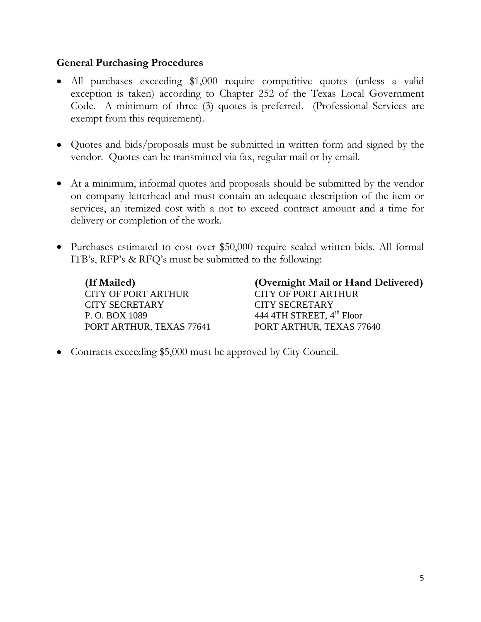#### **General Purchasing Procedures**

- All purchases exceeding \$1,000 require competitive quotes (unless a valid exception is taken) according to Chapter 252 of the Texas Local Government Code. A minimum of three (3) quotes is preferred. (Professional Services are exempt from this requirement).
- Quotes and bids/proposals must be submitted in written form and signed by the vendor. Quotes can be transmitted via fax, regular mail or by email.
- At a minimum, informal quotes and proposals should be submitted by the vendor on company letterhead and must contain an adequate description of the item or services, an itemized cost with a not to exceed contract amount and a time for delivery or completion of the work.
- Purchases estimated to cost over \$50,000 require sealed written bids. All formal ITB's, RFP's & RFQ's must be submitted to the following:

CITY OF PORT ARTHUR CITY OF PORT ARTHUR CITY SECRETARY CITY SECRETARY P. O. BOX 1089  $444$  4TH STREET,  $4<sup>th</sup>$  Floor

**(If Mailed) (Overnight Mail or Hand Delivered)** PORT ARTHUR, TEXAS 77641 PORT ARTHUR, TEXAS 77640

• Contracts exceeding \$5,000 must be approved by City Council.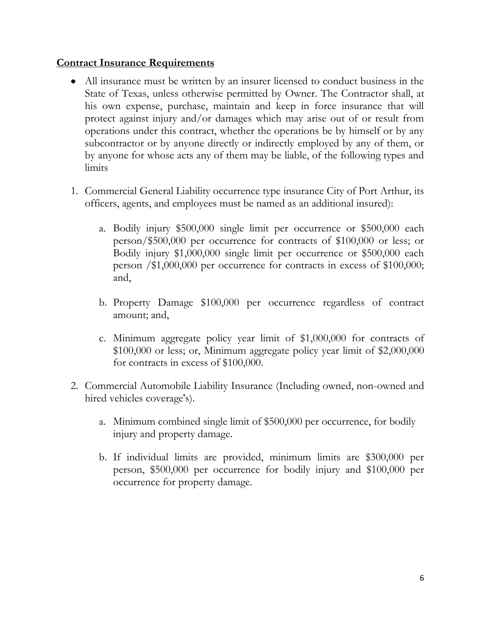#### **Contract Insurance Requirements**

- All insurance must be written by an insurer licensed to conduct business in the State of Texas, unless otherwise permitted by Owner. The Contractor shall, at his own expense, purchase, maintain and keep in force insurance that will protect against injury and/or damages which may arise out of or result from operations under this contract, whether the operations be by himself or by any subcontractor or by anyone directly or indirectly employed by any of them, or by anyone for whose acts any of them may be liable, of the following types and limits
- 1. Commercial General Liability occurrence type insurance City of Port Arthur, its officers, agents, and employees must be named as an additional insured):
	- a. Bodily injury \$500,000 single limit per occurrence or \$500,000 each person/\$500,000 per occurrence for contracts of \$100,000 or less; or Bodily injury \$1,000,000 single limit per occurrence or \$500,000 each person /\$1,000,000 per occurrence for contracts in excess of \$100,000; and,
	- b. Property Damage \$100,000 per occurrence regardless of contract amount; and,
	- c. Minimum aggregate policy year limit of \$1,000,000 for contracts of \$100,000 or less; or, Minimum aggregate policy year limit of \$2,000,000 for contracts in excess of \$100,000.
- 2. Commercial Automobile Liability Insurance (Including owned, non-owned and hired vehicles coverage's).
	- a. Minimum combined single limit of \$500,000 per occurrence, for bodily injury and property damage.
	- b. If individual limits are provided, minimum limits are \$300,000 per person, \$500,000 per occurrence for bodily injury and \$100,000 per occurrence for property damage.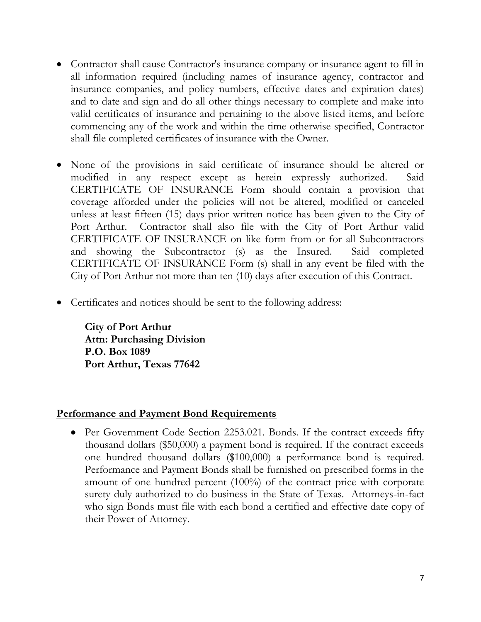- Contractor shall cause Contractor's insurance company or insurance agent to fill in all information required (including names of insurance agency, contractor and insurance companies, and policy numbers, effective dates and expiration dates) and to date and sign and do all other things necessary to complete and make into valid certificates of insurance and pertaining to the above listed items, and before commencing any of the work and within the time otherwise specified, Contractor shall file completed certificates of insurance with the Owner.
- None of the provisions in said certificate of insurance should be altered or modified in any respect except as herein expressly authorized. Said CERTIFICATE OF INSURANCE Form should contain a provision that coverage afforded under the policies will not be altered, modified or canceled unless at least fifteen (15) days prior written notice has been given to the City of Port Arthur. Contractor shall also file with the City of Port Arthur valid CERTIFICATE OF INSURANCE on like form from or for all Subcontractors and showing the Subcontractor (s) as the Insured. Said completed CERTIFICATE OF INSURANCE Form (s) shall in any event be filed with the City of Port Arthur not more than ten (10) days after execution of this Contract.
- Certificates and notices should be sent to the following address:

**City of Port Arthur Attn: Purchasing Division P.O. Box 1089 Port Arthur, Texas 77642**

#### **Performance and Payment Bond Requirements**

• Per Government Code Section 2253.021. Bonds. If the contract exceeds fifty thousand dollars (\$50,000) a payment bond is required. If the contract exceeds one hundred thousand dollars (\$100,000) a performance bond is required. Performance and Payment Bonds shall be furnished on prescribed forms in the amount of one hundred percent (100%) of the contract price with corporate surety duly authorized to do business in the State of Texas. Attorneys-in-fact who sign Bonds must file with each bond a certified and effective date copy of their Power of Attorney.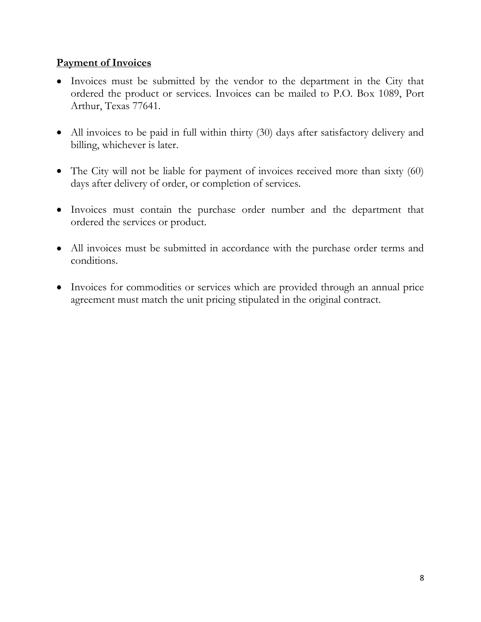### **Payment of Invoices**

- Invoices must be submitted by the vendor to the department in the City that ordered the product or services. Invoices can be mailed to P.O. Box 1089, Port Arthur, Texas 77641.
- All invoices to be paid in full within thirty (30) days after satisfactory delivery and billing, whichever is later.
- The City will not be liable for payment of invoices received more than sixty (60) days after delivery of order, or completion of services.
- Invoices must contain the purchase order number and the department that ordered the services or product.
- All invoices must be submitted in accordance with the purchase order terms and conditions.
- Invoices for commodities or services which are provided through an annual price agreement must match the unit pricing stipulated in the original contract.